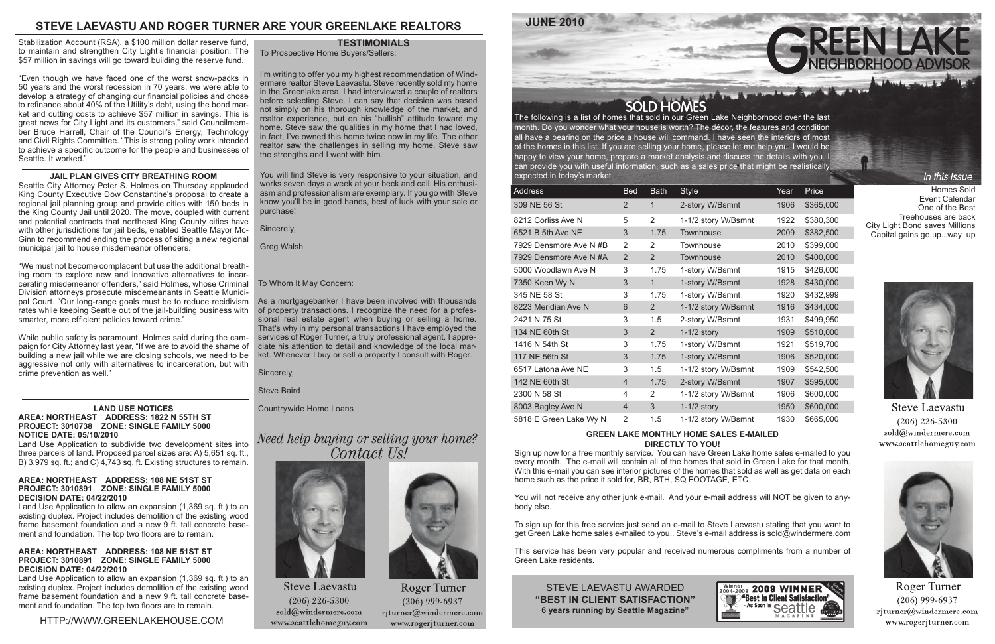

### HTTP://WWW.GREENLAKEHOUSE.COM

The following is a list of homes that sold in our Green Lake Neighborhood over the last month. Do you wonder what your house is worth? The décor, the features and condition all have a bearing on the price a house will command. I have seen the interiors of most of the homes in this list. If you are selling your home, please let me help you. I would be happy to view your home, prepare a market analysis and discuss the details with you. I can provide you with useful information, such as a sales price that might be realistically expected in today's market.

| Address                | <b>Bed</b>     | <b>Bath</b>    | <b>Style</b>        | Year | Price     |
|------------------------|----------------|----------------|---------------------|------|-----------|
| 309 NE 56 St           | 2              | 1              | 2-story W/Bsmnt     | 1906 | \$365,000 |
| 8212 Corliss Ave N     | 5              | $\overline{2}$ | 1-1/2 story W/Bsmnt | 1922 | \$380,300 |
| 6521 B 5th Ave NE      | 3              | 1.75           | Townhouse           | 2009 | \$382,500 |
| 7929 Densmore Ave N #B | 2              | 2              | Townhouse           | 2010 | \$399,000 |
| 7929 Densmore Ave N #A | $\overline{2}$ | $\overline{2}$ | Townhouse           | 2010 | \$400,000 |
| 5000 Woodlawn Ave N    | 3              | 1.75           | 1-story W/Bsmnt     | 1915 | \$426,000 |
| 7350 Keen Wy N         | 3              | $\mathbf{1}$   | 1-story W/Bsmnt     | 1928 | \$430,000 |
| 345 NE 58 St           | 3              | 1.75           | 1-story W/Bsmnt     | 1920 | \$432,999 |
| 8223 Meridian Ave N    | 6              | $\overline{2}$ | 1-1/2 story W/Bsmnt | 1916 | \$434,000 |
| 2421 N 75 St           | 3              | 1.5            | 2-story W/Bsmnt     | 1931 | \$499,950 |
| 134 NE 60th St         | 3              | 2              | $1-1/2$ story       | 1909 | \$510,000 |
| 1416 N 54th St         | 3              | 1.75           | 1-story W/Bsmnt     | 1921 | \$519,700 |
| 117 NE 56th St         | 3              | 1.75           | 1-story W/Bsmnt     | 1906 | \$520,000 |
| 6517 Latona Ave NE     | 3              | 1.5            | 1-1/2 story W/Bsmnt | 1909 | \$542,500 |
| 142 NE 60th St         | $\overline{4}$ | 1.75           | 2-story W/Bsmnt     | 1907 | \$595,000 |
| 2300 N 58 St           | 4              | 2              | 1-1/2 story W/Bsmnt | 1906 | \$600,000 |
| 8003 Bagley Ave N      | $\overline{4}$ | 3              | $1-1/2$ story       | 1950 | \$600,000 |
| 5818 E Green Lake Wy N | 2              | 1.5            | 1-1/2 story W/Bsmnt | 1930 | \$665,000 |

#### **GREEN LAKE MONTHLY HOME SALES E-MAILED DIRECTLY TO YOU!**

Sign up now for a free monthly service. You can have Green Lake home sales e-mailed to you every month. The e-mail will contain all of the homes that sold in Green Lake for that month. With this e-mail you can see interior pictures of the homes that sold as well as get data on each home such as the price it sold for, BR, BTH, SQ FOOTAGE, ETC.

You will not receive any other junk e-mail. And your e-mail address will NOT be given to anybody else.

To sign up for this free service just send an e-mail to Steve Laevastu stating that you want to get Green Lake home sales e-mailed to you.. Steve's e-mail address is sold@windermere.com

This service has been very popular and received numerous compliments from a number of Green Lake residents.

# **STEVE LAEVASTU AND ROGER TURNER ARE YOUR GREENLAKE REALTORS**

STEVE LAEVASTU AWARDED **"BEST IN CLIENT SATISFACTION" 6 years running by Seattle Magazine"**



#### **LAND USE NOTICES AREA: NORTHEAST ADDRESS: 1822 N 55TH ST PROJECT: 3010738 ZONE: SINGLE FAMILY 5000 NOTICE DATE: 05/10/2010**

Land Use Application to subdivide two development sites into three parcels of land. Proposed parcel sizes are: A) 5,651 sq. ft., B) 3,979 sq. ft.; and C) 4,743 sq. ft. Existing structures to remain.

#### **AREA: NORTHEAST ADDRESS: 108 NE 51ST ST PROJECT: 3010891 ZONE: SINGLE FAMILY 5000 DECISION DATE: 04/22/2010**

Land Use Application to allow an expansion (1,369 sq. ft.) to an existing duplex. Project includes demolition of the existing wood frame basement foundation and a new 9 ft. tall concrete basement and foundation. The top two floors are to remain.

#### **AREA: NORTHEAST ADDRESS: 108 NE 51ST ST PROJECT: 3010891 ZONE: SINGLE FAMILY 5000 DECISION DATE: 04/22/2010**

Land Use Application to allow an expansion (1,369 sq. ft.) to an existing duplex. Project includes demolition of the existing wood frame basement foundation and a new 9 ft. tall concrete basement and foundation. The top two floors are to remain.

Stabilization Account (RSA), a \$100 million dollar reserve fund, to maintain and strengthen City Light's financial position. The \$57 million in savings will go toward building the reserve fund.

"Even though we have faced one of the worst snow-packs in 50 years and the worst recession in 70 years, we were able to develop a strategy of changing our financial policies and chose to refinance about 40% of the Utility's debt, using the bond market and cutting costs to achieve \$57 million in savings. This is great news for City Light and its customers," said Councilmember Bruce Harrell, Chair of the Council's Energy, Technology and Civil Rights Committee. "This is strong policy work intended to achieve a specific outcome for the people and businesses of Seattle. It worked."

#### **JAIL PLAN GIVES CITY BREATHING ROOM**

Seattle City Attorney Peter S. Holmes on Thursday applauded King County Executive Dow Constantine's proposal to create a regional jail planning group and provide cities with 150 beds in the King County Jail until 2020. The move, coupled with current and potential contracts that northeast King County cities have with other jurisdictions for jail beds, enabled Seattle Mayor Mc-Ginn to recommend ending the process of siting a new regional municipal jail to house misdemeanor offenders.

"We must not become complacent but use the additional breathing room to explore new and innovative alternatives to incarcerating misdemeanor offenders," said Holmes, whose Criminal Division attorneys prosecute misdemeanants in Seattle Municipal Court. "Our long-range goals must be to reduce recidivism As a mortgagebanker I have been involved with thousands rates while keeping Seattle out of the jail-building business with smarter, more efficient policies toward crime."

While public safety is paramount, Holmes said during the campaign for City Attorney last year, "If we are to avoid the shame of building a new jail while we are closing schools, we need to be aggressive not only with alternatives to incarceration, but with crime prevention as well."

To Prospective Home Buyers/Sellers:

I'm writing to offer you my highest recommendation of Windermere realtor Steve Laevastu. Steve recently sold my home in the Greenlake area. I had interviewed a couple of realtors before selecting Steve. I can say that decision was based not simply on his thorough knowledge of the market, and realtor experience, but on his "bullish" attitude toward my home. Steve saw the qualities in my home that I had loved, in fact, I've owned this home twice now in my life. The other realtor saw the challenges in selling my home. Steve saw the strengths and I went with him.

You will find Steve is very responsive to your situation, and works seven days a week at your beck and call. His enthusiasm and professionalism are exemplary. If you go with Steve know you'll be in good hands, best of luck with your sale or purchase!

Sincerely,

Greg Walsh

## **TESTIMONIALS**

#### To Whom It May Concern:

of property transactions. I recognize the need for a professional real estate agent when buying or selling a home. That's why in my personal transactions I have employed the services of Roger Turner, a truly professional agent. I appreciate his attention to detail and knowledge of the local market. Whenever I buy or sell a property I consult with Roger.

Sincerely,

Steve Baird

Countrywide Home Loans

# Need help buying or selling your home? Contact Us!



**Steve Laevastu**  $(206)$  226-5300  $\text{solid}(\widehat{a})$ windermere.com www.seattlehomeguy.com



Roger Turner  $(206)$  999-6937 rjturner@windermere.com www.rogerjturner.com

Homes Sold Event Calendar One of the Best Treehouses are back City Light Bond saves Millions Capital gains go up...way up

In this Issue



**Steve Laevastu**  $(206)$  226-5300 sold@windermere.com www.seattlehomeguy.com



**Roger Turner**  $(206)$  999-6937  $r$ jturner@windermere.com www.rogerjturner.com